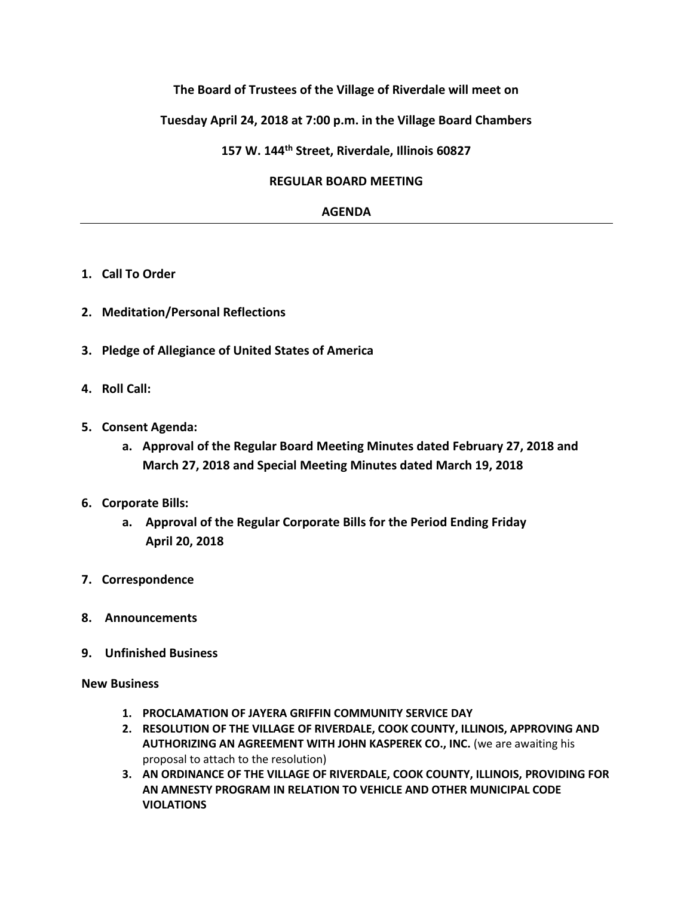# **The Board of Trustees of the Village of Riverdale will meet on**

# **Tuesday April 24, 2018 at 7:00 p.m. in the Village Board Chambers**

**157 W. 144th Street, Riverdale, Illinois 60827**

#### **REGULAR BOARD MEETING**

### **AGENDA**

- **1. Call To Order**
- **2. Meditation/Personal Reflections**
- **3. Pledge of Allegiance of United States of America**
- **4. Roll Call:**
- **5. Consent Agenda:**
	- **a. Approval of the Regular Board Meeting Minutes dated February 27, 2018 and March 27, 2018 and Special Meeting Minutes dated March 19, 2018**
- **6. Corporate Bills:**
	- **a. Approval of the Regular Corporate Bills for the Period Ending Friday April 20, 2018**
- **7. Correspondence**
- **8. Announcements**
- **9. Unfinished Business**

#### **New Business**

- **1. PROCLAMATION OF JAYERA GRIFFIN COMMUNITY SERVICE DAY**
- **2. RESOLUTION OF THE VILLAGE OF RIVERDALE, COOK COUNTY, ILLINOIS, APPROVING AND AUTHORIZING AN AGREEMENT WITH JOHN KASPEREK CO., INC.** (we are awaiting his proposal to attach to the resolution)
- **3. AN ORDINANCE OF THE VILLAGE OF RIVERDALE, COOK COUNTY, ILLINOIS, PROVIDING FOR AN AMNESTY PROGRAM IN RELATION TO VEHICLE AND OTHER MUNICIPAL CODE VIOLATIONS**